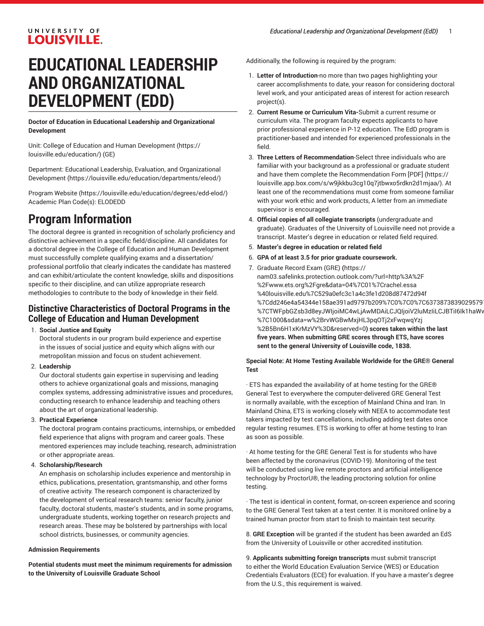## UNIVERSITY OF **LOUISVILLE.**

# **EDUCATIONAL LEADERSHIP AND ORGANIZATIONAL DEVELOPMENT (EDD)**

**Doctor of Education in Educational Leadership and Organizational Development**

Unit: College of Education and Human [Development \(https://](https://louisville.edu/education/) [louisville.edu/education/](https://louisville.edu/education/)) (GE)

Department: Educational Leadership, Evaluation, and [Organizational](https://louisville.edu/education/departments/eleod/) [Development](https://louisville.edu/education/departments/eleod/) ([https://louisville.edu/education/departments/eleod/\)](https://louisville.edu/education/departments/eleod/)

[Program](https://louisville.edu/education/degrees/edd-elod/) Website [\(https://louisville.edu/education/degrees/edd-elod/](https://louisville.edu/education/degrees/edd-elod/)) Academic Plan Code(s): ELODEDD

# **Program Information**

The doctoral degree is granted in recognition of scholarly proficiency and distinctive achievement in a specific field/discipline. All candidates for a doctoral degree in the College of Education and Human Development must successfully complete qualifying exams and a dissertation/ professional portfolio that clearly indicates the candidate has mastered and can exhibit/articulate the content knowledge, skills and dispositions specific to their discipline, and can utilize appropriate research methodologies to contribute to the body of knowledge in their field.

# **Distinctive Characteristics of Doctoral Programs in the College of Education and Human Development**

#### 1. **Social Justice and Equity**

Doctoral students in our program build experience and expertise in the issues of social justice and equity which aligns with our metropolitan mission and focus on student achievement.

#### 2. **Leadership**

Our doctoral students gain expertise in supervising and leading others to achieve organizational goals and missions, managing complex systems, addressing administrative issues and procedures, conducting research to enhance leadership and teaching others about the art of organizational leadership.

#### 3. **Practical Experience**

The doctoral program contains practicums, internships, or embedded field experience that aligns with program and career goals. These mentored experiences may include teaching, research, administration or other appropriate areas.

#### 4. **Scholarship/Research**

An emphasis on scholarship includes experience and mentorship in ethics, publications, presentation, grantsmanship, and other forms of creative activity. The research component is characterized by the development of vertical research teams: senior faculty, junior faculty, doctoral students, master's students, and in some programs, undergraduate students, working together on research projects and research areas. These may be bolstered by partnerships with local school districts, businesses, or community agencies.

#### **Admission Requirements**

**Potential students must meet the minimum requirements for admission to the University of Louisville Graduate School**

Additionally, the following is required by the program:

- 1. **Letter of Introduction**-no more than two pages highlighting your career accomplishments to date, your reason for considering doctoral level work, and your anticipated areas of interest for action research project(s).
- 2. **Current Resume or Curriculum Vita-**Submit a current resume or curriculum vita. The program faculty expects applicants to have prior professional experience in P-12 education. The EdD program is practitioner-based and intended for experienced professionals in the field.
- 3. **Three Letters of Recommendation**-Select three individuals who are familiar with your background as a professional or graduate student and have them complete the [Recommendation](https://louisville.app.box.com/s/w9jkkbu3cg10q7jtbwxo5rdkn2d1mjaa/) Form [PDF] [\(https://](https://louisville.app.box.com/s/w9jkkbu3cg10q7jtbwxo5rdkn2d1mjaa/) [louisville.app.box.com/s/w9jkkbu3cg10q7jtbwxo5rdkn2d1mjaa/\)](https://louisville.app.box.com/s/w9jkkbu3cg10q7jtbwxo5rdkn2d1mjaa/). At least one of the recommendations must come from someone familiar with your work ethic and work products, A letter from an immediate supervisor is encouraged.
- 4. **Official copies of all collegiate transcripts** (undergraduate and graduate). Graduates of the University of Louisville need not provide a transcript. Master's degree in education or related field required.
- 5. **Master's degree in education or related field**
- 6. **GPA of at least 3.5 for prior graduate coursework.**
- 7. [Graduate](https://nam03.safelinks.protection.outlook.com/?url=http%3A%2F%2Fwww.ets.org%2Fgre&data=04%7C01%7Crachel.essa%40louisville.edu%7C529a0efc3c1a4c3fe1d208d87472d94f%7Cdd246e4a54344e158ae391ad9797b209%7C0%7C0%7C637387383902957911%7CUnknown%7CTWFpbGZsb3d8eyJWIjoiMC4wLjAwMDAiLCJQIjoiV2luMzIiLCJBTiI6Ik1haWwiLCJXVCI6Mn0%3D%7C1000&sdata=w%2BrvWGBwMxjHL3pqOTj2xFwqwqYzj%2B5Bn6H1xKrMzVY%3D&reserved=0) Record Exam (GRE) **(**[https://](https://nam03.safelinks.protection.outlook.com/?url=http%3A%2F%2Fwww.ets.org%2Fgre&data=04%7C01%7Crachel.essa%40louisville.edu%7C529a0efc3c1a4c3fe1d208d87472d94f%7Cdd246e4a54344e158ae391ad9797b209%7C0%7C0%7C637387383902957911%7CUnknown%7CTWFpbGZsb3d8eyJWIjoiMC4wLjAwMDAiLCJQIjoiV2luMzIiLCJBTiI6Ik1haWwiLCJXVCI6Mn0%3D%7C1000&sdata=w%2BrvWGBwMxjHL3pqOTj2xFwqwqYzj%2B5Bn6H1xKrMzVY%3D&reserved=0) [nam03.safelinks.protection.outlook.com/?url=http%3A%2F](https://nam03.safelinks.protection.outlook.com/?url=http%3A%2F%2Fwww.ets.org%2Fgre&data=04%7C01%7Crachel.essa%40louisville.edu%7C529a0efc3c1a4c3fe1d208d87472d94f%7Cdd246e4a54344e158ae391ad9797b209%7C0%7C0%7C637387383902957911%7CUnknown%7CTWFpbGZsb3d8eyJWIjoiMC4wLjAwMDAiLCJQIjoiV2luMzIiLCJBTiI6Ik1haWwiLCJXVCI6Mn0%3D%7C1000&sdata=w%2BrvWGBwMxjHL3pqOTj2xFwqwqYzj%2B5Bn6H1xKrMzVY%3D&reserved=0) [%2Fwww.ets.org%2Fgre&data=04%7C01%7Crachel.essa](https://nam03.safelinks.protection.outlook.com/?url=http%3A%2F%2Fwww.ets.org%2Fgre&data=04%7C01%7Crachel.essa%40louisville.edu%7C529a0efc3c1a4c3fe1d208d87472d94f%7Cdd246e4a54344e158ae391ad9797b209%7C0%7C0%7C637387383902957911%7CUnknown%7CTWFpbGZsb3d8eyJWIjoiMC4wLjAwMDAiLCJQIjoiV2luMzIiLCJBTiI6Ik1haWwiLCJXVCI6Mn0%3D%7C1000&sdata=w%2BrvWGBwMxjHL3pqOTj2xFwqwqYzj%2B5Bn6H1xKrMzVY%3D&reserved=0) [%40louisville.edu%7C529a0efc3c1a4c3fe1d208d87472d94f](https://nam03.safelinks.protection.outlook.com/?url=http%3A%2F%2Fwww.ets.org%2Fgre&data=04%7C01%7Crachel.essa%40louisville.edu%7C529a0efc3c1a4c3fe1d208d87472d94f%7Cdd246e4a54344e158ae391ad9797b209%7C0%7C0%7C637387383902957911%7CUnknown%7CTWFpbGZsb3d8eyJWIjoiMC4wLjAwMDAiLCJQIjoiV2luMzIiLCJBTiI6Ik1haWwiLCJXVCI6Mn0%3D%7C1000&sdata=w%2BrvWGBwMxjHL3pqOTj2xFwqwqYzj%2B5Bn6H1xKrMzVY%3D&reserved=0) %7Cdd246e4a54344e158ae391ad9797b209%7C0%7C0%7C6373873839029579 %7CTWFpbGZsb3d8eyJWIjoiMC4wLjAwMDAiLCJQIjoiV2luMzIiLCJBTiI6Ik1haWv [%7C1000&sdata=w%2BrvWGBwMxjHL3pqOTj2xFwqwqYzj](https://nam03.safelinks.protection.outlook.com/?url=http%3A%2F%2Fwww.ets.org%2Fgre&data=04%7C01%7Crachel.essa%40louisville.edu%7C529a0efc3c1a4c3fe1d208d87472d94f%7Cdd246e4a54344e158ae391ad9797b209%7C0%7C0%7C637387383902957911%7CUnknown%7CTWFpbGZsb3d8eyJWIjoiMC4wLjAwMDAiLCJQIjoiV2luMzIiLCJBTiI6Ik1haWwiLCJXVCI6Mn0%3D%7C1000&sdata=w%2BrvWGBwMxjHL3pqOTj2xFwqwqYzj%2B5Bn6H1xKrMzVY%3D&reserved=0) [%2B5Bn6H1xKrMzVY%3D&reserved=0](https://nam03.safelinks.protection.outlook.com/?url=http%3A%2F%2Fwww.ets.org%2Fgre&data=04%7C01%7Crachel.essa%40louisville.edu%7C529a0efc3c1a4c3fe1d208d87472d94f%7Cdd246e4a54344e158ae391ad9797b209%7C0%7C0%7C637387383902957911%7CUnknown%7CTWFpbGZsb3d8eyJWIjoiMC4wLjAwMDAiLCJQIjoiV2luMzIiLCJBTiI6Ik1haWwiLCJXVCI6Mn0%3D%7C1000&sdata=w%2BrvWGBwMxjHL3pqOTj2xFwqwqYzj%2B5Bn6H1xKrMzVY%3D&reserved=0)**) scores taken within the last five years. When submitting GRE scores through ETS, have scores sent to the general University of Louisville code, 1838.**

#### **Special Note: At Home Testing Available Worldwide for the GRE® General Test**

· ETS has expanded the availability of at home testing for the GRE® General Test to everywhere the computer-delivered GRE General Test is normally available, with the exception of Mainland China and Iran. In Mainland China, ETS is working closely with NEEA to accommodate test takers impacted by test cancellations, including adding test dates once regular testing resumes. ETS is working to offer at home testing to Iran as soon as possible.

· At home testing for the GRE General Test is for students who have been affected by the coronavirus (COVID-19). Monitoring of the test will be conducted using live remote proctors and artificial intelligence technology by ProctorU®, the leading proctoring solution for online testing.

· The test is identical in content, format, on-screen experience and scoring to the GRE General Test taken at a test center. It is monitored online by a trained human proctor from start to finish to maintain test security.

8. **GRE Exception** will be granted if the student has been awarded an EdS from the University of Louisville or other accredited institution.

9. **Applicants submitting foreign transcripts** must submit transcript to either the World Education Evaluation Service (WES) or Education Credentials Evaluators (ECE) for evaluation. If you have a master's degree from the U.S., this requirement is waived.